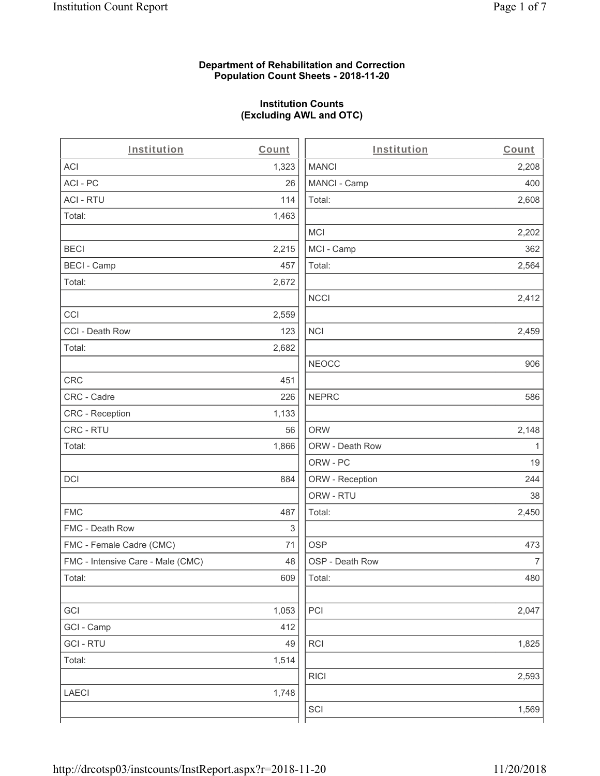### **Department of Rehabilitation and Correction Population Count Sheets - 2018-11-20**

## **Institution Counts (Excluding AWL and OTC)**

 $\overline{a}$ .

| Institution                       | Count | Institution     | Count        |
|-----------------------------------|-------|-----------------|--------------|
| ACI                               | 1,323 | <b>MANCI</b>    | 2,208        |
| ACI-PC                            | 26    | MANCI - Camp    | 400          |
| <b>ACI - RTU</b>                  | 114   | Total:          | 2,608        |
| Total:                            | 1,463 |                 |              |
|                                   |       | MCI             | 2,202        |
| <b>BECI</b>                       | 2,215 | MCI - Camp      | 362          |
| <b>BECI - Camp</b>                | 457   | Total:          | 2,564        |
| Total:                            | 2,672 |                 |              |
|                                   |       | <b>NCCI</b>     | 2,412        |
| CCI                               | 2,559 |                 |              |
| CCI - Death Row                   | 123   | <b>NCI</b>      | 2,459        |
| Total:                            | 2,682 |                 |              |
|                                   |       | <b>NEOCC</b>    | 906          |
| <b>CRC</b>                        | 451   |                 |              |
| CRC - Cadre                       | 226   | <b>NEPRC</b>    | 586          |
| CRC - Reception                   | 1,133 |                 |              |
| CRC - RTU                         | 56    | <b>ORW</b>      | 2,148        |
| Total:                            | 1,866 | ORW - Death Row | $\mathbf{1}$ |
|                                   |       | ORW - PC        | 19           |
| DCI                               | 884   | ORW - Reception | 244          |
|                                   |       | ORW - RTU       | 38           |
| <b>FMC</b>                        | 487   | Total:          | 2,450        |
| FMC - Death Row                   | 3     |                 |              |
| FMC - Female Cadre (CMC)          | 71    | <b>OSP</b>      | 473          |
| FMC - Intensive Care - Male (CMC) | 48    | OSP - Death Row | 7            |
| Total:                            | 609   | Total:          | 480          |
|                                   |       |                 |              |
| GCI                               | 1,053 | PCI             | 2,047        |
| GCI - Camp                        | 412   |                 |              |
| <b>GCI-RTU</b>                    | 49    | <b>RCI</b>      | 1,825        |
| Total:                            | 1,514 |                 |              |
|                                   |       | <b>RICI</b>     | 2,593        |
| <b>LAECI</b>                      | 1,748 |                 |              |
|                                   |       | SCI             | 1,569        |
|                                   |       |                 |              |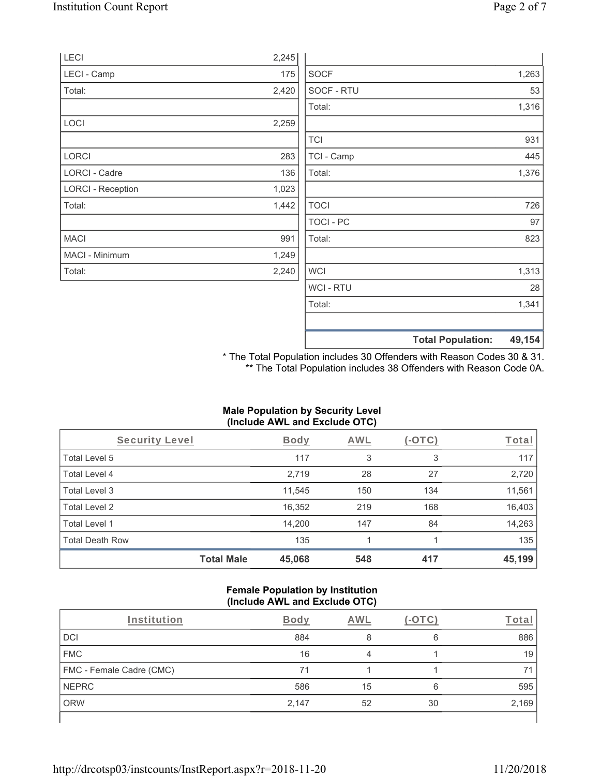|                          |       |                  | <b>Total Population:</b> | 49,154 |
|--------------------------|-------|------------------|--------------------------|--------|
|                          |       |                  |                          |        |
|                          |       | Total:           |                          | 1,341  |
|                          |       | WCI - RTU        |                          | 28     |
| Total:                   | 2,240 | <b>WCI</b>       |                          | 1,313  |
| MACI - Minimum           | 1,249 |                  |                          |        |
| <b>MACI</b>              | 991   | Total:           |                          | 823    |
|                          |       | <b>TOCI - PC</b> |                          | 97     |
| Total:                   | 1,442 | <b>TOCI</b>      |                          | 726    |
| <b>LORCI - Reception</b> | 1,023 |                  |                          |        |
| LORCI - Cadre            | 136   | Total:           |                          | 1,376  |
| <b>LORCI</b>             | 283   | TCI - Camp       |                          | 445    |
|                          |       | <b>TCI</b>       |                          | 931    |
| LOCI                     | 2,259 |                  |                          |        |
|                          |       | Total:           |                          | 1,316  |
| Total:                   | 2,420 | SOCF - RTU       |                          | 53     |
| LECI - Camp              | 175   | <b>SOCF</b>      |                          | 1,263  |
| LECI                     | 2,245 |                  |                          |        |

\* The Total Population includes 30 Offenders with Reason Codes 30 & 31. \*\* The Total Population includes 38 Offenders with Reason Code 0A.

### **Male Population by Security Level (Include AWL and Exclude OTC)**

| Security Level         |                   | <b>Body</b> | <b>AWL</b> | $(-\text{OTC})$ | Total  |
|------------------------|-------------------|-------------|------------|-----------------|--------|
| Total Level 5          |                   | 117         | 3          | 3               | 117    |
| Total Level 4          |                   | 2,719       | 28         | 27              | 2,720  |
| Total Level 3          |                   | 11,545      | 150        | 134             | 11,561 |
| Total Level 2          |                   | 16,352      | 219        | 168             | 16,403 |
| Total Level 1          |                   | 14,200      | 147        | 84              | 14,263 |
| <b>Total Death Row</b> |                   | 135         |            |                 | 135    |
|                        | <b>Total Male</b> | 45,068      | 548        | 417             | 45,199 |

#### **Female Population by Institution (Include AWL and Exclude OTC)**

| Institution              | <b>Body</b> | AWL |    | Tota  |
|--------------------------|-------------|-----|----|-------|
| <b>DCI</b>               | 884         |     | 6  | 886   |
| <b>FMC</b>               | 16          |     |    | 19    |
| FMC - Female Cadre (CMC) | 71          |     |    | 7,    |
| <b>NEPRC</b>             | 586         | 15  | 6  | 595   |
| <b>ORW</b>               | 2,147       | 52  | 30 | 2,169 |
|                          |             |     |    |       |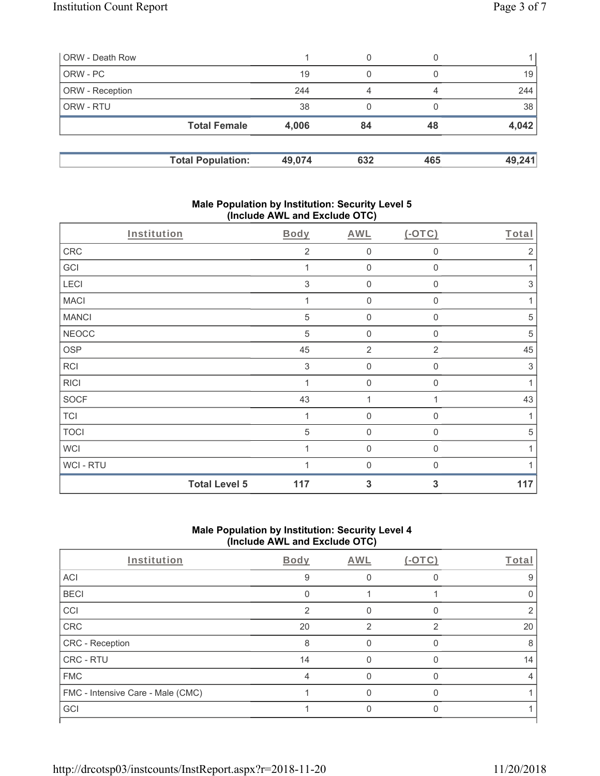| ORW - Death Row        |                          |        | 0   |     |        |
|------------------------|--------------------------|--------|-----|-----|--------|
| ORW - PC               |                          | 19     | 0   |     | 19     |
| <b>ORW</b> - Reception |                          | 244    | 4   | 4   | 244    |
| <b>ORW - RTU</b>       |                          | 38     | 0   |     | 38     |
|                        | <b>Total Female</b>      | 4,006  | 84  | 48  | 4,042  |
|                        | <b>Total Population:</b> | 49,074 | 632 | 465 | 49,241 |

### **Male Population by Institution: Security Level 5 (Include AWL and Exclude OTC)**

| Institution  |                      | Body           | AWL              | $(-OTC)$       | Total        |
|--------------|----------------------|----------------|------------------|----------------|--------------|
| CRC          |                      | $\overline{2}$ | $\mathbf 0$      | 0              | $\sqrt{2}$   |
| GCI          |                      |                | $\mathbf 0$      | $\Omega$       | 1            |
| LECI         |                      | $\,$ 3 $\,$    | $\mathbf 0$      | 0              | $\,$ 3 $\,$  |
| <b>MACI</b>  |                      |                | $\mathbf 0$      | $\mathbf 0$    | 1            |
| <b>MANCI</b> |                      | $\sqrt{5}$     | $\mathbf 0$      | 0              | $\sqrt{5}$   |
| <b>NEOCC</b> |                      | $\sqrt{5}$     | $\mathbf 0$      | $\mathbf{0}$   | 5            |
| <b>OSP</b>   |                      | 45             | $\overline{2}$   | $\overline{2}$ | 45           |
| <b>RCI</b>   |                      | 3              | $\mathbf 0$      | 0              | $\,$ 3 $\,$  |
| <b>RICI</b>  |                      | 1              | $\mathbf 0$      | $\mathbf 0$    | $\mathbf{1}$ |
| <b>SOCF</b>  |                      | 43             | 1                |                | 43           |
| <b>TCI</b>   |                      |                | $\boldsymbol{0}$ | 0              | 1            |
| <b>TOCI</b>  |                      | $\sqrt{5}$     | $\mathsf 0$      | $\mathbf 0$    | $\sqrt{5}$   |
| <b>WCI</b>   |                      |                | $\mathbf 0$      | $\mathbf{0}$   |              |
| WCI - RTU    |                      |                | $\mathbf 0$      | 0              |              |
|              | <b>Total Level 5</b> | 117            | 3                | 3              | 117          |

# **Male Population by Institution: Security Level 4 (Include AWL and Exclude OTC)**

| Institution                       | <b>Body</b>   | AWL | $(-OTC)$      | Total |
|-----------------------------------|---------------|-----|---------------|-------|
| ACI                               | 9             |     |               | 9     |
| <b>BECI</b>                       |               |     |               |       |
| CCI                               | $\mathcal{P}$ |     | O             |       |
| CRC                               | 20            | 2   | $\mathcal{P}$ | 20    |
| CRC - Reception                   | 8             |     | n             | 8     |
| <b>CRC - RTU</b>                  | 14            |     |               | 14    |
| <b>FMC</b>                        | 4             |     | n             | 4     |
| FMC - Intensive Care - Male (CMC) |               |     |               |       |
| GCI                               |               |     |               |       |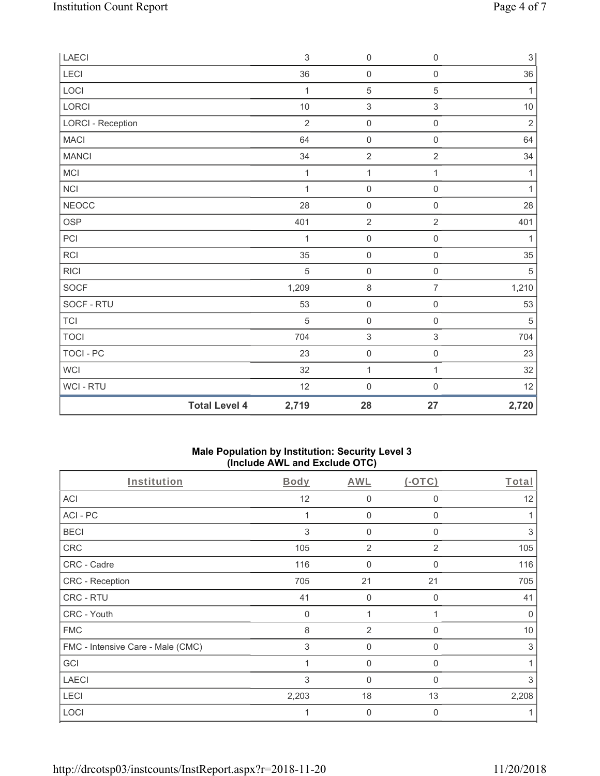| ${\sf LAECI}$            |                      | $\sqrt{3}$     | $\mathsf{O}\xspace$       | $\mathbf 0$         | $\ensuremath{\mathsf{3}}$ |
|--------------------------|----------------------|----------------|---------------------------|---------------------|---------------------------|
| LECI                     |                      | 36             | $\mathsf{O}\xspace$       | $\mathsf{O}\xspace$ | 36                        |
| LOCI                     |                      | $\mathbf 1$    | $\mathbf 5$               | $\mathbf 5$         | $\mathbf{1}$              |
| LORCI                    |                      | 10             | $\ensuremath{\mathsf{3}}$ | $\,$ 3 $\,$         | $10\,$                    |
| <b>LORCI - Reception</b> |                      | $\overline{2}$ | $\mathsf{O}\xspace$       | $\mathsf 0$         | $\overline{2}$            |
| <b>MACI</b>              |                      | 64             | $\mathbf 0$               | $\mathbf 0$         | 64                        |
| <b>MANCI</b>             |                      | 34             | $\sqrt{2}$                | $\sqrt{2}$          | $34\,$                    |
| <b>MCI</b>               |                      | $\mathbf 1$    | $\mathbf{1}$              | $\mathbf{1}$        | $\mathbf{1}$              |
| NCI                      |                      | $\mathbf{1}$   | $\mathsf{O}\xspace$       | $\mathbf 0$         | 1                         |
| <b>NEOCC</b>             |                      | 28             | $\mathbf 0$               | $\mathsf 0$         | 28                        |
| OSP                      |                      | 401            | $\sqrt{2}$                | $\overline{c}$      | 401                       |
| PCI                      |                      | 1              | $\mathsf{O}\xspace$       | $\mathsf{O}\xspace$ | 1                         |
| <b>RCI</b>               |                      | 35             | $\mathsf{O}\xspace$       | $\mathsf 0$         | 35                        |
| <b>RICI</b>              |                      | 5              | $\boldsymbol{0}$          | $\mathbf 0$         | $\sqrt{5}$                |
| <b>SOCF</b>              |                      | 1,209          | $\,8\,$                   | $\overline{7}$      | 1,210                     |
| SOCF - RTU               |                      | 53             | $\mathsf{O}\xspace$       | $\mathsf{O}\xspace$ | 53                        |
| TCI                      |                      | 5              | $\mathsf{O}\xspace$       | 0                   | $\,$ 5 $\,$               |
| <b>TOCI</b>              |                      | 704            | $\sqrt{3}$                | 3                   | 704                       |
| TOCI - PC                |                      | 23             | $\mathsf{O}\xspace$       | $\mathsf{O}\xspace$ | 23                        |
| WCI                      |                      | 32             | $\mathbf 1$               | 1                   | 32                        |
| WCI - RTU                |                      | 12             | $\boldsymbol{0}$          | $\mathbf 0$         | 12                        |
|                          | <b>Total Level 4</b> | 2,719          | 28                        | 27                  | 2,720                     |

## **Male Population by Institution: Security Level 3 (Include AWL and Exclude OTC)**

| Institution                       | Body        | AWL            | $(-OTC)$       | Total       |
|-----------------------------------|-------------|----------------|----------------|-------------|
| ACI                               | 12          | $\mathbf 0$    | 0              | 12          |
| ACI-PC                            |             | 0              | 0              |             |
| <b>BECI</b>                       | 3           | $\overline{0}$ | 0              | 3           |
| CRC                               | 105         | $\overline{2}$ | $\overline{2}$ | 105         |
| CRC - Cadre                       | 116         | $\overline{0}$ | 0              | 116         |
| <b>CRC - Reception</b>            | 705         | 21             | 21             | 705         |
| CRC - RTU                         | 41          | $\mathbf 0$    | $\mathbf 0$    | 41          |
| CRC - Youth                       | $\mathbf 0$ | 1              |                | $\mathbf 0$ |
| <b>FMC</b>                        | 8           | $\overline{2}$ | 0              | 10          |
| FMC - Intensive Care - Male (CMC) | 3           | 0              | $\mathbf{0}$   | 3           |
| GCI                               |             | $\mathbf 0$    | 0              |             |
| <b>LAECI</b>                      | 3           | $\mathbf 0$    | $\Omega$       | 3           |
| LECI                              | 2,203       | 18             | 13             | 2,208       |
| LOCI                              |             | $\mathbf 0$    | $\Omega$       |             |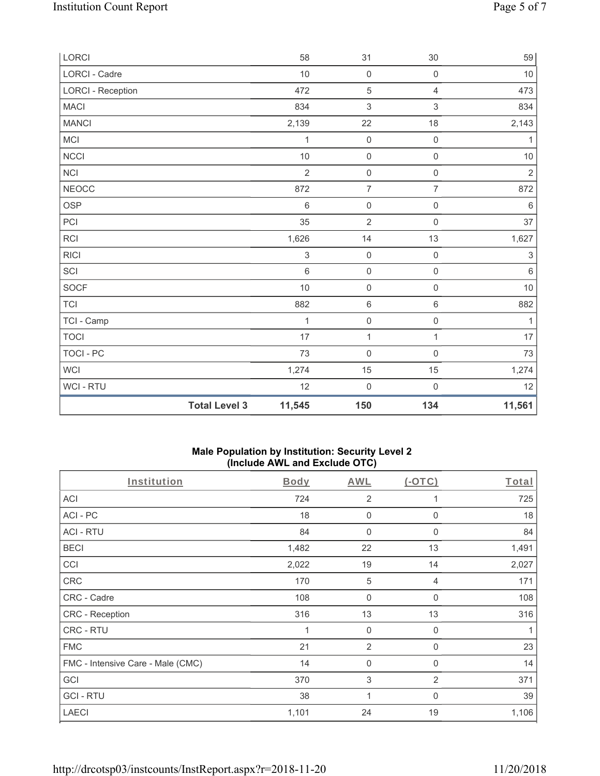| LORCI                    |                      | 58                        | 31                        | 30                        | 59                        |
|--------------------------|----------------------|---------------------------|---------------------------|---------------------------|---------------------------|
| LORCI - Cadre            |                      | 10                        | $\mathsf{O}\xspace$       | $\mathsf{O}\xspace$       | 10                        |
| <b>LORCI - Reception</b> |                      | 472                       | $\mathbf 5$               | $\overline{4}$            | 473                       |
| <b>MACI</b>              |                      | 834                       | $\ensuremath{\mathsf{3}}$ | $\ensuremath{\mathsf{3}}$ | 834                       |
| <b>MANCI</b>             |                      | 2,139                     | 22                        | 18                        | 2,143                     |
| MCI                      |                      | 1                         | $\mathsf 0$               | $\mathbf 0$               | $\mathbf{1}$              |
| NCCI                     |                      | 10                        | $\mathsf{O}\xspace$       | $\mathsf{O}\xspace$       | $10$                      |
| <b>NCI</b>               |                      | $\overline{2}$            | $\mathsf{O}\xspace$       | $\mathsf{O}\xspace$       | $\sqrt{2}$                |
| <b>NEOCC</b>             |                      | 872                       | $\overline{7}$            | $\overline{7}$            | 872                       |
| <b>OSP</b>               |                      | $6\,$                     | $\mathsf{O}\xspace$       | $\mathsf 0$               | $\,6\,$                   |
| PCI                      |                      | 35                        | $\overline{2}$            | $\mathsf{O}\xspace$       | 37                        |
| <b>RCI</b>               |                      | 1,626                     | 14                        | 13                        | 1,627                     |
| <b>RICI</b>              |                      | $\ensuremath{\mathsf{3}}$ | $\mathsf 0$               | $\mathsf{O}\xspace$       | $\ensuremath{\mathsf{3}}$ |
| SCI                      |                      | $\,6\,$                   | $\mathsf{O}\xspace$       | $\mathsf{O}\xspace$       | $\,6\,$                   |
| <b>SOCF</b>              |                      | 10                        | $\mathsf{O}\xspace$       | $\mathsf{O}\xspace$       | $10$                      |
| <b>TCI</b>               |                      | 882                       | $\,6\,$                   | $\,6\,$                   | 882                       |
| TCI - Camp               |                      | 1                         | $\mathsf{O}\xspace$       | $\mathsf{O}\xspace$       | 1                         |
| <b>TOCI</b>              |                      | 17                        | $\mathbf{1}$              | $\mathbf{1}$              | $17\,$                    |
| <b>TOCI - PC</b>         |                      | 73                        | $\mathsf{O}\xspace$       | $\mathsf{O}\xspace$       | $73\,$                    |
| <b>WCI</b>               |                      | 1,274                     | 15                        | $15\,$                    | 1,274                     |
| WCI - RTU                |                      | 12                        | $\mathsf{O}\xspace$       | $\mathsf{O}\xspace$       | 12                        |
|                          | <b>Total Level 3</b> | 11,545                    | 150                       | 134                       | 11,561                    |

### **Male Population by Institution: Security Level 2 (Include AWL and Exclude OTC)**

| Institution                       | Body  | AWL            | $(-OTC)$       | Total |
|-----------------------------------|-------|----------------|----------------|-------|
| <b>ACI</b>                        | 724   | $\overline{2}$ | 1              | 725   |
| ACI-PC                            | 18    | 0              | 0              | 18    |
| <b>ACI - RTU</b>                  | 84    | $\mathbf 0$    | $\mathbf 0$    | 84    |
| <b>BECI</b>                       | 1,482 | 22             | 13             | 1,491 |
| CCI                               | 2,022 | 19             | 14             | 2,027 |
| CRC                               | 170   | $\sqrt{5}$     | 4              | 171   |
| CRC - Cadre                       | 108   | $\mathbf 0$    | $\mathbf 0$    | 108   |
| CRC - Reception                   | 316   | 13             | 13             | 316   |
| CRC - RTU                         | 1     | $\mathbf 0$    | $\mathbf 0$    | 1     |
| <b>FMC</b>                        | 21    | $\overline{2}$ | 0              | 23    |
| FMC - Intensive Care - Male (CMC) | 14    | 0              | 0              | 14    |
| GCI                               | 370   | 3              | $\overline{2}$ | 371   |
| <b>GCI-RTU</b>                    | 38    | 1              | $\mathbf{0}$   | 39    |
| <b>LAECI</b>                      | 1,101 | 24             | 19             | 1,106 |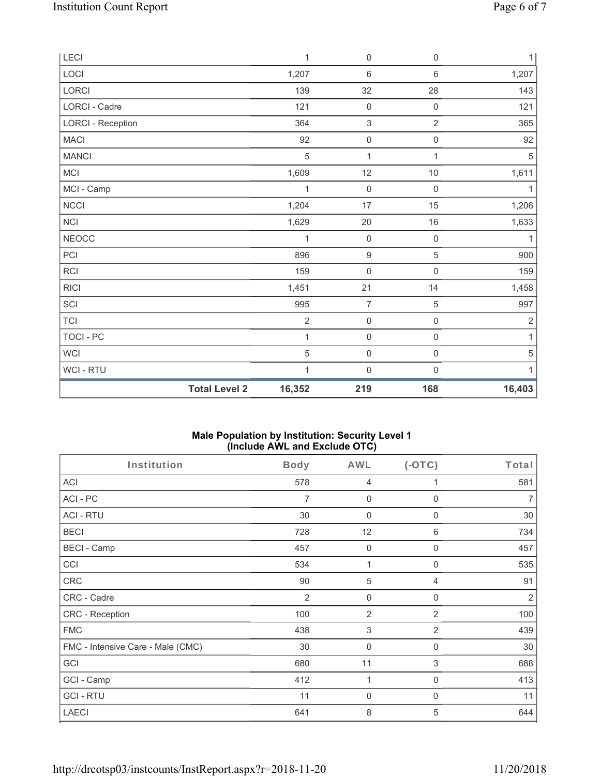| LECI                     |                      | $\mathbf{1}$ | $\mathbf 0$         | $\mathsf{O}\xspace$ | 1          |
|--------------------------|----------------------|--------------|---------------------|---------------------|------------|
| LOCI                     |                      | 1,207        | $\,6\,$             | $\,6\,$             | 1,207      |
| LORCI                    |                      | 139          | 32                  | 28                  | 143        |
| LORCI - Cadre            |                      | 121          | $\mathsf{O}\xspace$ | $\boldsymbol{0}$    | 121        |
| <b>LORCI - Reception</b> |                      | 364          | $\sqrt{3}$          | $\overline{2}$      | 365        |
| <b>MACI</b>              |                      | 92           | $\mathsf{O}\xspace$ | $\mathsf{O}\xspace$ | 92         |
| <b>MANCI</b>             |                      | 5            | 1                   | 1                   | 5          |
| MCI                      |                      | 1,609        | 12                  | $10$                | 1,611      |
| MCI - Camp               |                      | 1            | $\mathsf{O}\xspace$ | 0                   | 1          |
| NCCI                     |                      | 1,204        | 17                  | 15                  | 1,206      |
| NCI                      |                      | 1,629        | 20                  | $16\,$              | 1,633      |
| <b>NEOCC</b>             |                      | 1            | $\mathsf{O}\xspace$ | $\mathsf{O}\xspace$ | 1          |
| PCI                      |                      | 896          | $\boldsymbol{9}$    | 5                   | 900        |
| <b>RCI</b>               |                      | 159          | $\mathsf{O}\xspace$ | 0                   | 159        |
| <b>RICI</b>              |                      | 1,451        | 21                  | 14                  | 1,458      |
| SCI                      |                      | 995          | $\overline{7}$      | 5                   | 997        |
| <b>TCI</b>               |                      | $\mathbf 2$  | $\mathsf{O}\xspace$ | $\mathsf{O}\xspace$ | $\sqrt{2}$ |
| TOCI - PC                |                      | 1            | $\mathsf{O}\xspace$ | $\mathsf{O}\xspace$ | 1          |
| <b>WCI</b>               |                      | 5            | $\mathsf{O}\xspace$ | $\mathsf{O}\xspace$ | 5          |
| WCI - RTU                |                      | 1            | $\mathsf{O}\xspace$ | $\mathbf 0$         | 1          |
|                          | <b>Total Level 2</b> | 16,352       | 219                 | 168                 | 16,403     |

### **Male Population by Institution: Security Level 1 (Include AWL and Exclude OTC)**

| Institution                       | <b>Body</b>    | <b>AWL</b>                | $($ -OTC $)$   | Total |
|-----------------------------------|----------------|---------------------------|----------------|-------|
| <b>ACI</b>                        | 578            | 4                         | 1              | 581   |
| ACI-PC                            | $\overline{7}$ | 0                         | $\Omega$       | 7     |
| <b>ACI - RTU</b>                  | 30             | 0                         | 0              | 30    |
| <b>BECI</b>                       | 728            | 12                        | 6              | 734   |
| <b>BECI - Camp</b>                | 457            | $\mathbf 0$               | $\Omega$       | 457   |
| CCI                               | 534            | 1                         | 0              | 535   |
| <b>CRC</b>                        | 90             | 5                         | 4              | 91    |
| CRC - Cadre                       | 2              | $\mathbf 0$               | $\mathbf 0$    | 2     |
| CRC - Reception                   | 100            | $\overline{2}$            | 2              | 100   |
| <b>FMC</b>                        | 438            | $\ensuremath{\mathsf{3}}$ | $\overline{2}$ | 439   |
| FMC - Intensive Care - Male (CMC) | 30             | $\mathbf 0$               | $\mathbf 0$    | 30    |
| GCI                               | 680            | 11                        | 3              | 688   |
| GCI - Camp                        | 412            | 1                         | $\mathbf 0$    | 413   |
| <b>GCI-RTU</b>                    | 11             | $\mathbf 0$               | $\mathbf{0}$   | 11    |
| <b>LAECI</b>                      | 641            | 8                         | 5              | 644   |